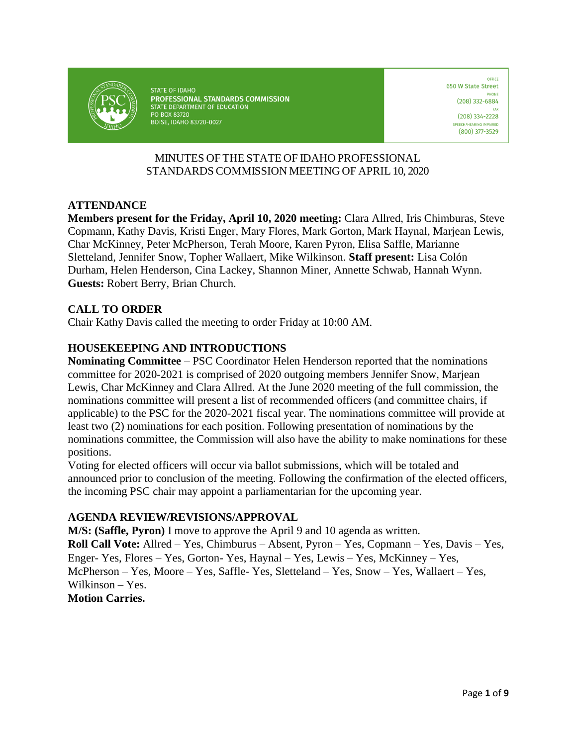

STATE OF IDAHO PROFESSIONAL STANDARDS COMMISSION STATE DEPARTMENT OF EDUCATION PO BOX 83720 **BOISE, IDAHO 83720-0027** 

OFFICE 650 W State Street  $(208)$  332-6884  $(208)$  334-2228 **CH/HEARING IMPAIRED** (800) 377-3529

# MINUTES OF THE STATE OF IDAHO PROFESSIONAL STANDARDS COMMISSION MEETING OF APRIL 10, 2020

## **ATTENDANCE**

**Members present for the Friday, April 10, 2020 meeting:** Clara Allred, Iris Chimburas, Steve Copmann, Kathy Davis, Kristi Enger, Mary Flores, Mark Gorton, Mark Haynal, Marjean Lewis, Char McKinney, Peter McPherson, Terah Moore, Karen Pyron, Elisa Saffle, Marianne Sletteland, Jennifer Snow, Topher Wallaert, Mike Wilkinson. **Staff present:** Lisa Colón Durham, Helen Henderson, Cina Lackey, Shannon Miner, Annette Schwab, Hannah Wynn. **Guests:** Robert Berry, Brian Church.

## **CALL TO ORDER**

Chair Kathy Davis called the meeting to order Friday at 10:00 AM.

# **HOUSEKEEPING AND INTRODUCTIONS**

**Nominating Committee** – PSC Coordinator Helen Henderson reported that the nominations committee for 2020-2021 is comprised of 2020 outgoing members Jennifer Snow, Marjean Lewis, Char McKinney and Clara Allred. At the June 2020 meeting of the full commission, the nominations committee will present a list of recommended officers (and committee chairs, if applicable) to the PSC for the 2020-2021 fiscal year. The nominations committee will provide at least two (2) nominations for each position. Following presentation of nominations by the nominations committee, the Commission will also have the ability to make nominations for these positions.

Voting for elected officers will occur via ballot submissions, which will be totaled and announced prior to conclusion of the meeting. Following the confirmation of the elected officers, the incoming PSC chair may appoint a parliamentarian for the upcoming year.

#### **AGENDA REVIEW/REVISIONS/APPROVAL**

**M/S: (Saffle, Pyron)** I move to approve the April 9 and 10 agenda as written. **Roll Call Vote:** Allred – Yes, Chimburus – Absent, Pyron – Yes, Copmann – Yes, Davis – Yes, Enger- Yes, Flores – Yes, Gorton- Yes, Haynal – Yes, Lewis – Yes, McKinney – Yes, McPherson – Yes, Moore – Yes, Saffle- Yes, Sletteland – Yes, Snow – Yes, Wallaert – Yes, Wilkinson – Yes. **Motion Carries.**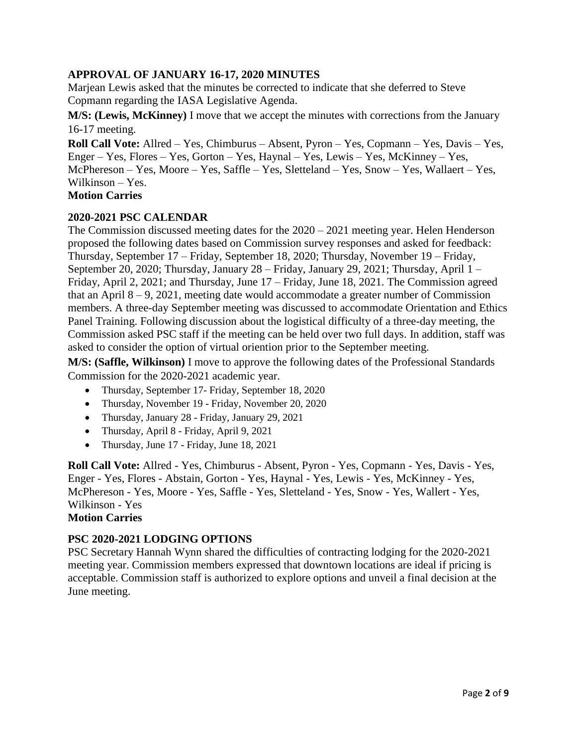# **APPROVAL OF JANUARY 16-17, 2020 MINUTES**

Marjean Lewis asked that the minutes be corrected to indicate that she deferred to Steve Copmann regarding the IASA Legislative Agenda.

**M/S: (Lewis, McKinney)** I move that we accept the minutes with corrections from the January 16-17 meeting.

**Roll Call Vote:** Allred – Yes, Chimburus – Absent, Pyron – Yes, Copmann – Yes, Davis – Yes, Enger – Yes, Flores – Yes, Gorton – Yes, Haynal – Yes, Lewis – Yes, McKinney – Yes, McPhereson – Yes, Moore – Yes, Saffle – Yes, Sletteland – Yes, Snow – Yes, Wallaert – Yes, Wilkinson – Yes.

## **Motion Carries**

## **2020-2021 PSC CALENDAR**

The Commission discussed meeting dates for the 2020 – 2021 meeting year. Helen Henderson proposed the following dates based on Commission survey responses and asked for feedback: Thursday, September 17 – Friday, September 18, 2020; Thursday, November 19 – Friday, September 20, 2020; Thursday, January 28 – Friday, January 29, 2021; Thursday, April 1 – Friday, April 2, 2021; and Thursday, June 17 – Friday, June 18, 2021. The Commission agreed that an April  $8 - 9$ , 2021, meeting date would accommodate a greater number of Commission members. A three-day September meeting was discussed to accommodate Orientation and Ethics Panel Training. Following discussion about the logistical difficulty of a three-day meeting, the Commission asked PSC staff if the meeting can be held over two full days. In addition, staff was asked to consider the option of virtual oriention prior to the September meeting.

**M/S: (Saffle, Wilkinson)** I move to approve the following dates of the Professional Standards Commission for the 2020-2021 academic year.

- Thursday, September 17- Friday, September 18, 2020
- Thursday, November 19 Friday, November 20, 2020
- Thursday, January 28 Friday, January 29, 2021
- Thursday, April 8 Friday, April 9, 2021
- Thursday, June 17 Friday, June 18, 2021

**Roll Call Vote:** Allred - Yes, Chimburus - Absent, Pyron - Yes, Copmann - Yes, Davis - Yes, Enger - Yes, Flores - Abstain, Gorton - Yes, Haynal - Yes, Lewis - Yes, McKinney - Yes, McPhereson - Yes, Moore - Yes, Saffle - Yes, Sletteland - Yes, Snow - Yes, Wallert - Yes, Wilkinson - Yes

## **Motion Carries**

#### **PSC 2020-2021 LODGING OPTIONS**

PSC Secretary Hannah Wynn shared the difficulties of contracting lodging for the 2020-2021 meeting year. Commission members expressed that downtown locations are ideal if pricing is acceptable. Commission staff is authorized to explore options and unveil a final decision at the June meeting.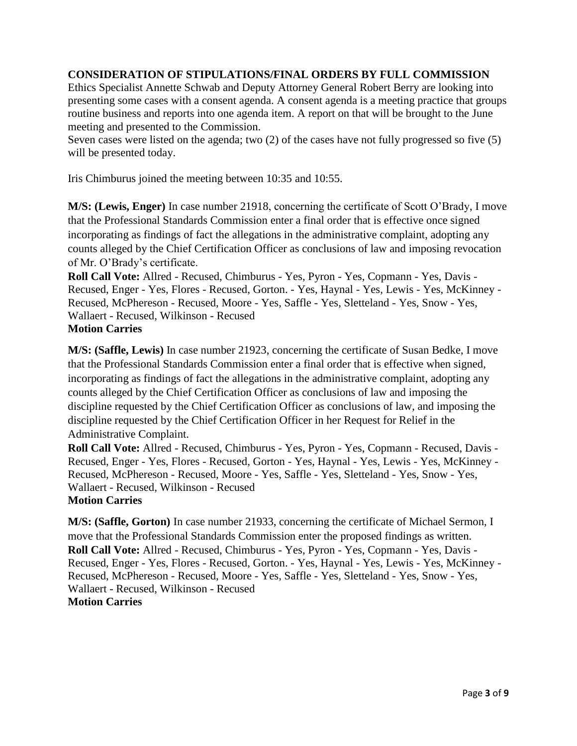## **CONSIDERATION OF STIPULATIONS/FINAL ORDERS BY FULL COMMISSION**

Ethics Specialist Annette Schwab and Deputy Attorney General Robert Berry are looking into presenting some cases with a consent agenda. A consent agenda is a meeting practice that groups routine business and reports into one agenda item. A report on that will be brought to the June meeting and presented to the Commission.

Seven cases were listed on the agenda; two (2) of the cases have not fully progressed so five (5) will be presented today.

Iris Chimburus joined the meeting between 10:35 and 10:55.

**M/S: (Lewis, Enger)** In case number 21918, concerning the certificate of Scott O'Brady, I move that the Professional Standards Commission enter a final order that is effective once signed incorporating as findings of fact the allegations in the administrative complaint, adopting any counts alleged by the Chief Certification Officer as conclusions of law and imposing revocation of Mr. O'Brady's certificate.

**Roll Call Vote:** Allred - Recused, Chimburus - Yes, Pyron - Yes, Copmann - Yes, Davis - Recused, Enger - Yes, Flores - Recused, Gorton. - Yes, Haynal - Yes, Lewis - Yes, McKinney - Recused, McPhereson - Recused, Moore - Yes, Saffle - Yes, Sletteland - Yes, Snow - Yes, Wallaert - Recused, Wilkinson - Recused **Motion Carries** 

**M/S: (Saffle, Lewis)** In case number 21923, concerning the certificate of Susan Bedke, I move that the Professional Standards Commission enter a final order that is effective when signed, incorporating as findings of fact the allegations in the administrative complaint, adopting any counts alleged by the Chief Certification Officer as conclusions of law and imposing the discipline requested by the Chief Certification Officer as conclusions of law, and imposing the discipline requested by the Chief Certification Officer in her Request for Relief in the Administrative Complaint.

**Roll Call Vote:** Allred - Recused, Chimburus - Yes, Pyron - Yes, Copmann - Recused, Davis - Recused, Enger - Yes, Flores - Recused, Gorton - Yes, Haynal - Yes, Lewis - Yes, McKinney - Recused, McPhereson - Recused, Moore - Yes, Saffle - Yes, Sletteland - Yes, Snow - Yes, Wallaert - Recused, Wilkinson - Recused **Motion Carries**

**M/S: (Saffle, Gorton)** In case number 21933, concerning the certificate of Michael Sermon, I move that the Professional Standards Commission enter the proposed findings as written. **Roll Call Vote:** Allred - Recused, Chimburus - Yes, Pyron - Yes, Copmann - Yes, Davis - Recused, Enger - Yes, Flores - Recused, Gorton. - Yes, Haynal - Yes, Lewis - Yes, McKinney - Recused, McPhereson - Recused, Moore - Yes, Saffle - Yes, Sletteland - Yes, Snow - Yes, Wallaert - Recused, Wilkinson - Recused **Motion Carries**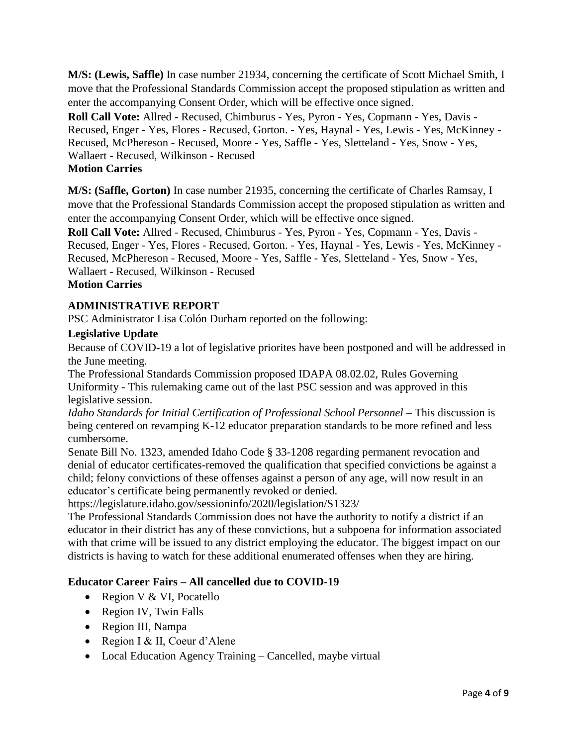**M/S: (Lewis, Saffle)** In case number 21934, concerning the certificate of Scott Michael Smith, I move that the Professional Standards Commission accept the proposed stipulation as written and enter the accompanying Consent Order, which will be effective once signed.

**Roll Call Vote:** Allred - Recused, Chimburus - Yes, Pyron - Yes, Copmann - Yes, Davis - Recused, Enger - Yes, Flores - Recused, Gorton. - Yes, Haynal - Yes, Lewis - Yes, McKinney - Recused, McPhereson - Recused, Moore - Yes, Saffle - Yes, Sletteland - Yes, Snow - Yes, Wallaert - Recused, Wilkinson - Recused **Motion Carries** 

**M/S: (Saffle, Gorton)** In case number 21935, concerning the certificate of Charles Ramsay, I move that the Professional Standards Commission accept the proposed stipulation as written and enter the accompanying Consent Order, which will be effective once signed.

**Roll Call Vote:** Allred - Recused, Chimburus - Yes, Pyron - Yes, Copmann - Yes, Davis - Recused, Enger - Yes, Flores - Recused, Gorton. - Yes, Haynal - Yes, Lewis - Yes, McKinney - Recused, McPhereson - Recused, Moore - Yes, Saffle - Yes, Sletteland - Yes, Snow - Yes, Wallaert - Recused, Wilkinson - Recused

# **Motion Carries**

## **ADMINISTRATIVE REPORT**

PSC Administrator Lisa Colón Durham reported on the following:

#### **Legislative Update**

Because of COVID-19 a lot of legislative priorites have been postponed and will be addressed in the June meeting.

The Professional Standards Commission proposed IDAPA 08.02.02, Rules Governing Uniformity - This rulemaking came out of the last PSC session and was approved in this legislative session.

*Idaho Standards for Initial Certification of Professional School Personnel –* This discussion is being centered on revamping K-12 educator preparation standards to be more refined and less cumbersome.

Senate Bill No. 1323, amended Idaho Code § 33-1208 regarding permanent revocation and denial of educator certificates-removed the qualification that specified convictions be against a child; felony convictions of these offenses against a person of any age, will now result in an educator's certificate being permanently revoked or denied.

<https://legislature.idaho.gov/sessioninfo/2020/legislation/S1323/>

The Professional Standards Commission does not have the authority to notify a district if an educator in their district has any of these convictions, but a subpoena for information associated with that crime will be issued to any district employing the educator. The biggest impact on our districts is having to watch for these additional enumerated offenses when they are hiring.

#### **Educator Career Fairs – All cancelled due to COVID-19**

- Region V & VI, Pocatello
- Region IV, Twin Falls
- Region III, Nampa
- Region I & II, Coeur d'Alene
- Local Education Agency Training Cancelled, maybe virtual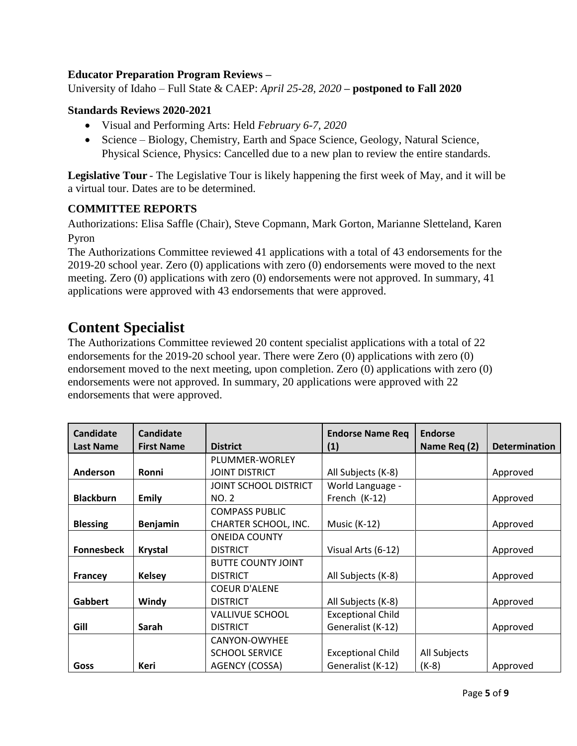# **Educator Preparation Program Reviews –**

University of Idaho – Full State & CAEP: *April 25-28, 2020* **– postponed to Fall 2020**

#### **Standards Reviews 2020-2021**

- Visual and Performing Arts: Held *February 6-7, 2020*
- Science Biology, Chemistry, Earth and Space Science, Geology, Natural Science, Physical Science, Physics: Cancelled due to a new plan to review the entire standards.

**Legislative Tour** - The Legislative Tour is likely happening the first week of May, and it will be a virtual tour. Dates are to be determined.

#### **COMMITTEE REPORTS**

Authorizations: Elisa Saffle (Chair), Steve Copmann, Mark Gorton, Marianne Sletteland, Karen Pyron

The Authorizations Committee reviewed 41 applications with a total of 43 endorsements for the 2019-20 school year. Zero (0) applications with zero (0) endorsements were moved to the next meeting. Zero (0) applications with zero (0) endorsements were not approved. In summary, 41 applications were approved with 43 endorsements that were approved.

# **Content Specialist**

The Authorizations Committee reviewed 20 content specialist applications with a total of 22 endorsements for the 2019-20 school year. There were Zero (0) applications with zero (0) endorsement moved to the next meeting, upon completion. Zero (0) applications with zero (0) endorsements were not approved. In summary, 20 applications were approved with 22 endorsements that were approved.

| <b>Candidate</b>  | <b>Candidate</b>  |                           | <b>Endorse Name Req</b>  | <b>Endorse</b> |                      |
|-------------------|-------------------|---------------------------|--------------------------|----------------|----------------------|
| <b>Last Name</b>  | <b>First Name</b> | <b>District</b>           | (1)                      | Name Req (2)   | <b>Determination</b> |
|                   |                   | PLUMMER-WORLEY            |                          |                |                      |
| Anderson          | Ronni             | <b>JOINT DISTRICT</b>     | All Subjects (K-8)       |                | Approved             |
|                   |                   | JOINT SCHOOL DISTRICT     | World Language -         |                |                      |
| <b>Blackburn</b>  | <b>Emily</b>      | NO. 2                     | French (K-12)            |                | Approved             |
|                   |                   | <b>COMPASS PUBLIC</b>     |                          |                |                      |
| <b>Blessing</b>   | <b>Benjamin</b>   | CHARTER SCHOOL, INC.      | <b>Music (K-12)</b>      |                | Approved             |
|                   |                   | <b>ONEIDA COUNTY</b>      |                          |                |                      |
| <b>Fonnesbeck</b> | <b>Krystal</b>    | <b>DISTRICT</b>           | Visual Arts (6-12)       |                | Approved             |
|                   |                   | <b>BUTTE COUNTY JOINT</b> |                          |                |                      |
| <b>Francey</b>    | <b>Kelsey</b>     | <b>DISTRICT</b>           | All Subjects (K-8)       |                | Approved             |
|                   |                   | <b>COEUR D'ALENE</b>      |                          |                |                      |
| Gabbert           | Windy             | <b>DISTRICT</b>           | All Subjects (K-8)       |                | Approved             |
|                   |                   | <b>VALLIVUE SCHOOL</b>    | <b>Exceptional Child</b> |                |                      |
| Gill              | Sarah             | <b>DISTRICT</b>           | Generalist (K-12)        |                | Approved             |
|                   |                   | CANYON-OWYHEE             |                          |                |                      |
|                   |                   | <b>SCHOOL SERVICE</b>     | <b>Exceptional Child</b> | All Subjects   |                      |
| Goss              | Keri              | AGENCY (COSSA)            | Generalist (K-12)        | $(K-8)$        | Approved             |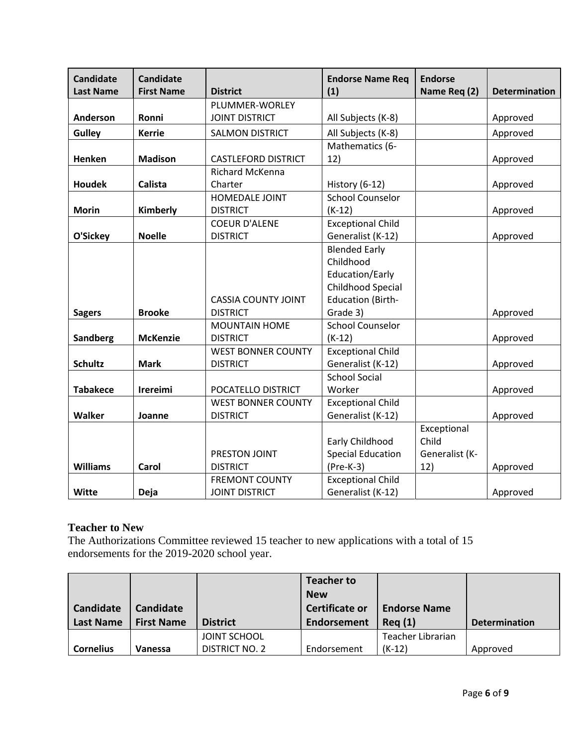| <b>Candidate</b> | <b>Candidate</b>  |                            | <b>Endorse Name Req</b>  | <b>Endorse</b> |                      |
|------------------|-------------------|----------------------------|--------------------------|----------------|----------------------|
| <b>Last Name</b> | <b>First Name</b> | <b>District</b>            | (1)                      | Name Req (2)   | <b>Determination</b> |
|                  |                   | PLUMMER-WORLEY             |                          |                |                      |
| Anderson         | Ronni             | <b>JOINT DISTRICT</b>      | All Subjects (K-8)       |                | Approved             |
| <b>Gulley</b>    | <b>Kerrie</b>     | <b>SALMON DISTRICT</b>     | All Subjects (K-8)       |                | Approved             |
|                  |                   |                            | Mathematics (6-          |                |                      |
| Henken           | <b>Madison</b>    | <b>CASTLEFORD DISTRICT</b> | 12)                      |                | Approved             |
|                  |                   | Richard McKenna            |                          |                |                      |
| <b>Houdek</b>    | Calista           | Charter                    | History (6-12)           |                | Approved             |
|                  |                   | HOMEDALE JOINT             | <b>School Counselor</b>  |                |                      |
| <b>Morin</b>     | Kimberly          | <b>DISTRICT</b>            | $(K-12)$                 |                | Approved             |
|                  |                   | <b>COEUR D'ALENE</b>       | <b>Exceptional Child</b> |                |                      |
| O'Sickey         | <b>Noelle</b>     | <b>DISTRICT</b>            | Generalist (K-12)        |                | Approved             |
|                  |                   |                            | <b>Blended Early</b>     |                |                      |
|                  |                   |                            | Childhood                |                |                      |
|                  |                   |                            | Education/Early          |                |                      |
|                  |                   |                            | Childhood Special        |                |                      |
|                  |                   | <b>CASSIA COUNTY JOINT</b> | <b>Education (Birth-</b> |                |                      |
| <b>Sagers</b>    | <b>Brooke</b>     | <b>DISTRICT</b>            | Grade 3)                 |                | Approved             |
|                  |                   | <b>MOUNTAIN HOME</b>       | <b>School Counselor</b>  |                |                      |
| Sandberg         | <b>McKenzie</b>   | <b>DISTRICT</b>            | $(K-12)$                 |                | Approved             |
|                  |                   | <b>WEST BONNER COUNTY</b>  | <b>Exceptional Child</b> |                |                      |
| <b>Schultz</b>   | <b>Mark</b>       | <b>DISTRICT</b>            | Generalist (K-12)        |                | Approved             |
|                  |                   |                            | <b>School Social</b>     |                |                      |
| <b>Tabakece</b>  | Irereimi          | POCATELLO DISTRICT         | Worker                   |                | Approved             |
|                  |                   | <b>WEST BONNER COUNTY</b>  | <b>Exceptional Child</b> |                |                      |
| <b>Walker</b>    | Joanne            | <b>DISTRICT</b>            | Generalist (K-12)        |                | Approved             |
|                  |                   |                            |                          | Exceptional    |                      |
|                  |                   |                            | Early Childhood          | Child          |                      |
|                  |                   | PRESTON JOINT              | <b>Special Education</b> | Generalist (K- |                      |
| <b>Williams</b>  | Carol             | <b>DISTRICT</b>            | $(Pre-K-3)$              | 12)            | Approved             |
|                  |                   | <b>FREMONT COUNTY</b>      | <b>Exceptional Child</b> |                |                      |
| <b>Witte</b>     | Deja              | <b>JOINT DISTRICT</b>      | Generalist (K-12)        |                | Approved             |

# **Teacher to New**

The Authorizations Committee reviewed 15 teacher to new applications with a total of 15 endorsements for the 2019-2020 school year.

| <b>Candidate</b> | <b>Candidate</b>  |                     | <b>Teacher to</b><br><b>New</b><br>Certificate or | <b>Endorse Name</b> |                      |
|------------------|-------------------|---------------------|---------------------------------------------------|---------------------|----------------------|
| <b>Last Name</b> | <b>First Name</b> | <b>District</b>     | Endorsement                                       | Req(1)              | <b>Determination</b> |
|                  |                   | <b>JOINT SCHOOL</b> |                                                   | Teacher Librarian   |                      |
| <b>Cornelius</b> | Vanessa           | DISTRICT NO. 2      | Endorsement                                       | $(K-12)$            | Approved             |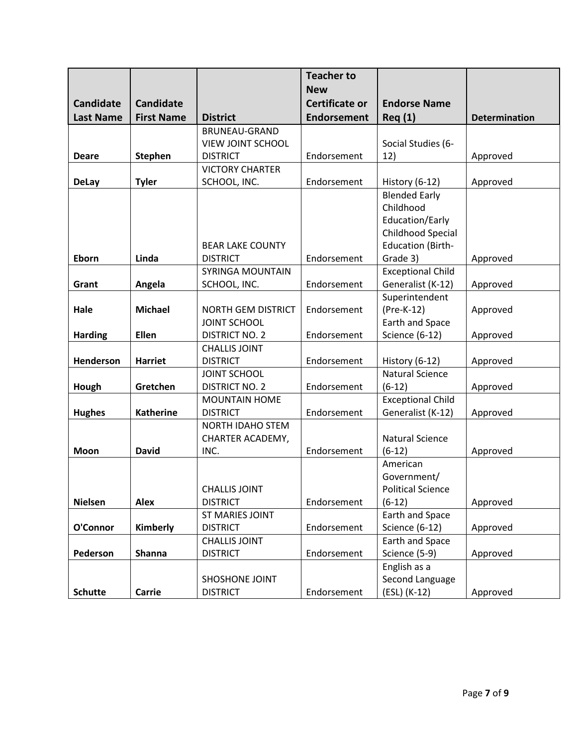|                  |                   |                           | <b>Teacher to</b>     |                                               |                      |
|------------------|-------------------|---------------------------|-----------------------|-----------------------------------------------|----------------------|
|                  |                   |                           | <b>New</b>            |                                               |                      |
| <b>Candidate</b> | <b>Candidate</b>  |                           | <b>Certificate or</b> | <b>Endorse Name</b>                           |                      |
| <b>Last Name</b> | <b>First Name</b> | <b>District</b>           | <b>Endorsement</b>    | Req(1)                                        | <b>Determination</b> |
|                  |                   | <b>BRUNEAU-GRAND</b>      |                       |                                               |                      |
|                  |                   | VIEW JOINT SCHOOL         |                       | Social Studies (6-                            |                      |
| <b>Deare</b>     | <b>Stephen</b>    | <b>DISTRICT</b>           | Endorsement           | 12)                                           | Approved             |
|                  |                   | <b>VICTORY CHARTER</b>    |                       |                                               |                      |
| <b>DeLay</b>     | <b>Tyler</b>      | SCHOOL, INC.              | Endorsement           | History (6-12)                                | Approved             |
|                  |                   |                           |                       | <b>Blended Early</b>                          |                      |
|                  |                   |                           |                       | Childhood                                     |                      |
|                  |                   |                           |                       | Education/Early                               |                      |
|                  |                   | <b>BEAR LAKE COUNTY</b>   |                       | Childhood Special<br><b>Education (Birth-</b> |                      |
| Eborn            | Linda             | <b>DISTRICT</b>           | Endorsement           | Grade 3)                                      | Approved             |
|                  |                   | SYRINGA MOUNTAIN          |                       | <b>Exceptional Child</b>                      |                      |
| Grant            | Angela            | SCHOOL, INC.              | Endorsement           | Generalist (K-12)                             | Approved             |
|                  |                   |                           |                       | Superintendent                                |                      |
| Hale             | <b>Michael</b>    | <b>NORTH GEM DISTRICT</b> | Endorsement           | (Pre-K-12)                                    | Approved             |
|                  |                   | <b>JOINT SCHOOL</b>       |                       | Earth and Space                               |                      |
| <b>Harding</b>   | Ellen             | <b>DISTRICT NO. 2</b>     | Endorsement           | <b>Science (6-12)</b>                         | Approved             |
|                  |                   | <b>CHALLIS JOINT</b>      |                       |                                               |                      |
| Henderson        | <b>Harriet</b>    | <b>DISTRICT</b>           | Endorsement           | History (6-12)                                | Approved             |
|                  |                   | <b>JOINT SCHOOL</b>       |                       | <b>Natural Science</b>                        |                      |
| Hough            | Gretchen          | <b>DISTRICT NO. 2</b>     | Endorsement           | $(6-12)$                                      | Approved             |
|                  |                   | <b>MOUNTAIN HOME</b>      |                       | <b>Exceptional Child</b>                      |                      |
| <b>Hughes</b>    | <b>Katherine</b>  | <b>DISTRICT</b>           | Endorsement           | Generalist (K-12)                             | Approved             |
|                  |                   | NORTH IDAHO STEM          |                       |                                               |                      |
|                  |                   | CHARTER ACADEMY,          |                       | <b>Natural Science</b>                        |                      |
| Moon             | <b>David</b>      | INC.                      | Endorsement           | $(6-12)$                                      | Approved             |
|                  |                   |                           |                       | American                                      |                      |
|                  |                   | <b>CHALLIS JOINT</b>      |                       | Government/<br><b>Political Science</b>       |                      |
| <b>Nielsen</b>   | <b>Alex</b>       | <b>DISTRICT</b>           | Endorsement           | $(6-12)$                                      | Approved             |
|                  |                   | ST MARIES JOINT           |                       | Earth and Space                               |                      |
| O'Connor         | Kimberly          | <b>DISTRICT</b>           | Endorsement           | <b>Science (6-12)</b>                         | Approved             |
|                  |                   | <b>CHALLIS JOINT</b>      |                       | Earth and Space                               |                      |
| Pederson         | <b>Shanna</b>     | <b>DISTRICT</b>           | Endorsement           | Science (5-9)                                 | Approved             |
|                  |                   |                           |                       | English as a                                  |                      |
|                  |                   | SHOSHONE JOINT            |                       | Second Language                               |                      |
| <b>Schutte</b>   | Carrie            | <b>DISTRICT</b>           | Endorsement           | (ESL) (K-12)                                  | Approved             |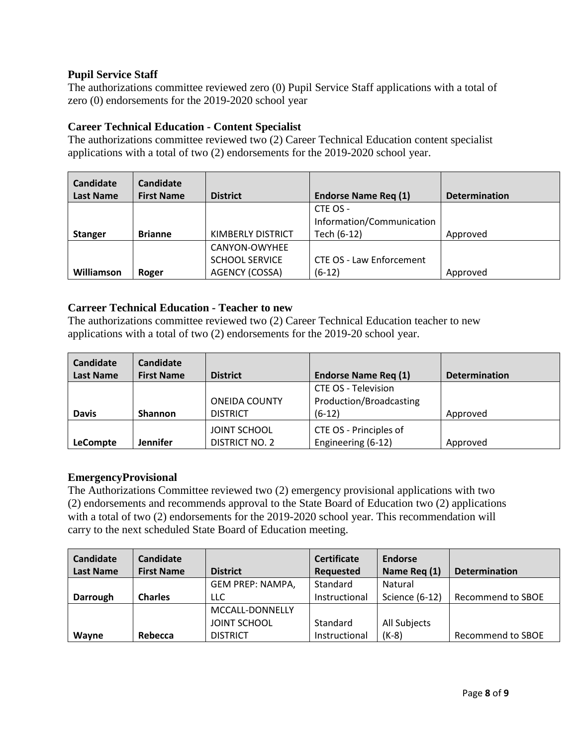# **Pupil Service Staff**

The authorizations committee reviewed zero (0) Pupil Service Staff applications with a total of zero (0) endorsements for the 2019-2020 school year

## **Career Technical Education - Content Specialist**

The authorizations committee reviewed two (2) Career Technical Education content specialist applications with a total of two (2) endorsements for the 2019-2020 school year.

| Candidate<br><b>Last Name</b> | Candidate<br><b>First Name</b> | <b>District</b>       | <b>Endorse Name Reg (1)</b>     | <b>Determination</b> |
|-------------------------------|--------------------------------|-----------------------|---------------------------------|----------------------|
|                               |                                |                       | CTE OS -                        |                      |
|                               |                                |                       | Information/Communication       |                      |
| <b>Stanger</b>                | <b>Brianne</b>                 | KIMBERLY DISTRICT     | Tech (6-12)                     | Approved             |
|                               |                                | CANYON-OWYHEE         |                                 |                      |
|                               |                                | <b>SCHOOL SERVICE</b> | <b>CTE OS - Law Enforcement</b> |                      |
| Williamson                    | Roger                          | AGENCY (COSSA)        | $(6-12)$                        | Approved             |

## **Carreer Technical Education - Teacher to new**

The authorizations committee reviewed two (2) Career Technical Education teacher to new applications with a total of two (2) endorsements for the 2019-20 school year.

| Candidate        | Candidate         |                       |                             |                      |
|------------------|-------------------|-----------------------|-----------------------------|----------------------|
| <b>Last Name</b> | <b>First Name</b> | <b>District</b>       | <b>Endorse Name Req (1)</b> | <b>Determination</b> |
|                  |                   |                       | CTE OS - Television         |                      |
|                  |                   | <b>ONEIDA COUNTY</b>  | Production/Broadcasting     |                      |
| <b>Davis</b>     | <b>Shannon</b>    | <b>DISTRICT</b>       | $(6-12)$                    | Approved             |
|                  |                   | <b>JOINT SCHOOL</b>   | CTE OS - Principles of      |                      |
| <b>LeCompte</b>  | <b>Jennifer</b>   | <b>DISTRICT NO. 2</b> | Engineering (6-12)          | Approved             |

#### **EmergencyProvisional**

The Authorizations Committee reviewed two (2) emergency provisional applications with two (2) endorsements and recommends approval to the State Board of Education two (2) applications with a total of two (2) endorsements for the 2019-2020 school year. This recommendation will carry to the next scheduled State Board of Education meeting.

| <b>Candidate</b> | Candidate         |                     | <b>Certificate</b> | Endorse        |                      |
|------------------|-------------------|---------------------|--------------------|----------------|----------------------|
| <b>Last Name</b> | <b>First Name</b> | <b>District</b>     | <b>Requested</b>   | Name Req (1)   | <b>Determination</b> |
|                  |                   | GEM PREP: NAMPA,    | Standard           | Natural        |                      |
| Darrough         | <b>Charles</b>    | <b>LLC</b>          | Instructional      | Science (6-12) | Recommend to SBOE    |
|                  |                   | MCCALL-DONNELLY     |                    |                |                      |
|                  |                   | <b>JOINT SCHOOL</b> | Standard           | All Subjects   |                      |
| Wayne            | Rebecca           | <b>DISTRICT</b>     | Instructional      | $(K-8)$        | Recommend to SBOE    |